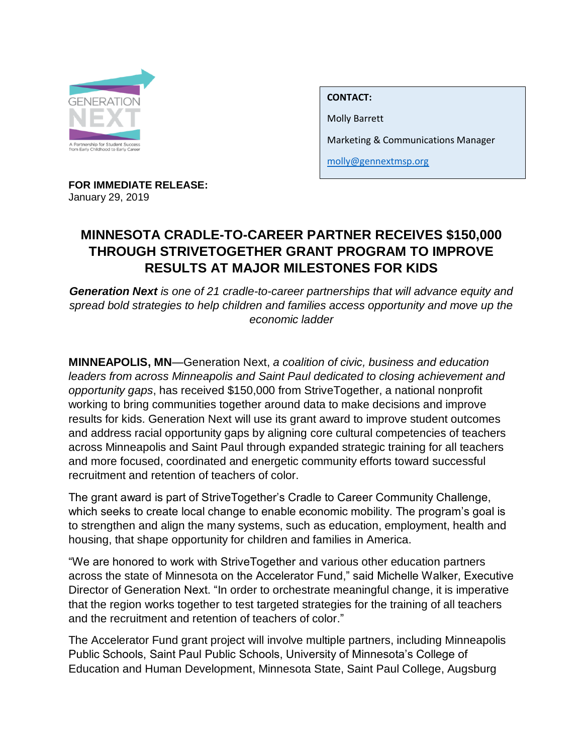

**CONTACT:**

Molly Barrett

612-343-6055

Marketing & Communications Manager

[molly@gennextmsp.org](mailto:molly@gennextmsp.org)

**FOR IMMEDIATE RELEASE:**  January 29, 2019

## **MINNESOTA CRADLE-TO-CAREER PARTNER RECEIVES \$150,000 THROUGH STRIVETOGETHER GRANT PROGRAM TO IMPROVE RESULTS AT MAJOR MILESTONES FOR KIDS**

*Generation Next is one of 21 cradle-to-career partnerships that will advance equity and spread bold strategies to help children and families access opportunity and move up the economic ladder*

**MINNEAPOLIS, MN**—Generation Next, *a coalition of civic, business and education leaders from across Minneapolis and Saint Paul dedicated to closing achievement and opportunity gaps*, has received \$150,000 from StriveTogether, a national nonprofit working to bring communities together around data to make decisions and improve results for kids. Generation Next will use its grant award to improve student outcomes and address racial opportunity gaps by aligning core cultural competencies of teachers across Minneapolis and Saint Paul through expanded strategic training for all teachers and more focused, coordinated and energetic community efforts toward successful recruitment and retention of teachers of color.

The grant award is part of StriveTogether's Cradle to Career Community Challenge, which seeks to create local change to enable economic mobility. The program's goal is to strengthen and align the many systems, such as education, employment, health and housing, that shape opportunity for children and families in America.

"We are honored to work with StriveTogether and various other education partners across the state of Minnesota on the Accelerator Fund," said Michelle Walker, Executive Director of Generation Next. "In order to orchestrate meaningful change, it is imperative that the region works together to test targeted strategies for the training of all teachers and the recruitment and retention of teachers of color."

The Accelerator Fund grant project will involve multiple partners, including Minneapolis Public Schools, Saint Paul Public Schools, University of Minnesota's College of Education and Human Development, Minnesota State, Saint Paul College, Augsburg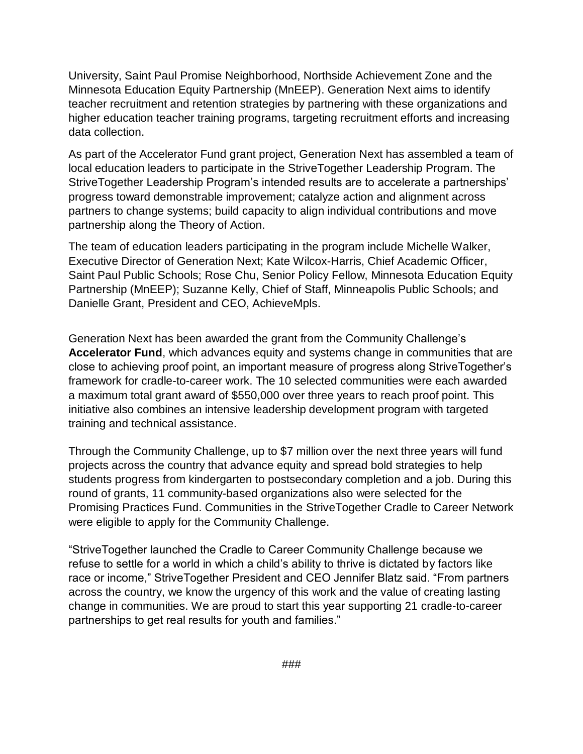University, Saint Paul Promise Neighborhood, Northside Achievement Zone and the Minnesota Education Equity Partnership (MnEEP). Generation Next aims to identify teacher recruitment and retention strategies by partnering with these organizations and higher education teacher training programs, targeting recruitment efforts and increasing data collection.

As part of the Accelerator Fund grant project, Generation Next has assembled a team of local education leaders to participate in the StriveTogether Leadership Program. The StriveTogether Leadership Program's intended results are to accelerate a partnerships' progress toward demonstrable improvement; catalyze action and alignment across partners to change systems; build capacity to align individual contributions and move partnership along the Theory of Action.

The team of education leaders participating in the program include Michelle Walker, Executive Director of Generation Next; Kate Wilcox-Harris, Chief Academic Officer, Saint Paul Public Schools; Rose Chu, Senior Policy Fellow, Minnesota Education Equity Partnership (MnEEP); Suzanne Kelly, Chief of Staff, Minneapolis Public Schools; and Danielle Grant, President and CEO, AchieveMpls.

Generation Next has been awarded the grant from the Community Challenge's **Accelerator Fund**, which advances equity and systems change in communities that are close to achieving proof point, an important measure of progress along StriveTogether's framework for cradle-to-career work. The 10 selected communities were each awarded a maximum total grant award of \$550,000 over three years to reach proof point. This initiative also combines an intensive leadership development program with targeted training and technical assistance.

Through the Community Challenge, up to \$7 million over the next three years will fund projects across the country that advance equity and spread bold strategies to help students progress from kindergarten to postsecondary completion and a job. During this round of grants, 11 community-based organizations also were selected for the Promising Practices Fund. Communities in the StriveTogether Cradle to Career Network were eligible to apply for the Community Challenge.

"StriveTogether launched the Cradle to Career Community Challenge because we refuse to settle for a world in which a child's ability to thrive is dictated by factors like race or income," StriveTogether President and CEO Jennifer Blatz said. "From partners across the country, we know the urgency of this work and the value of creating lasting change in communities. We are proud to start this year supporting 21 cradle-to-career partnerships to get real results for youth and families."